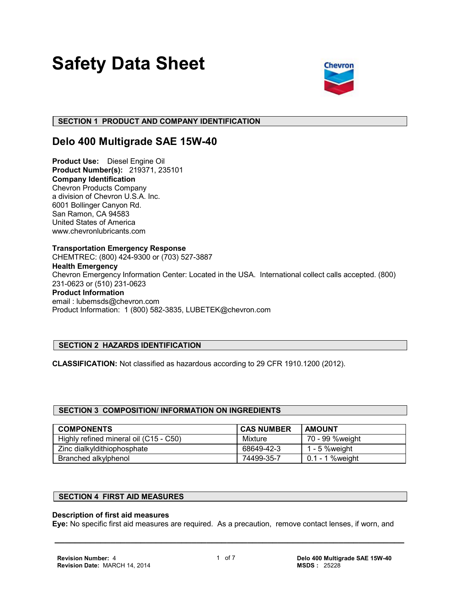# **Safety Data Sheet**



# **SECTION 1 PRODUCT AND COMPANY IDENTIFICATION**

# **Delo 400 Multigrade SAE 15W-40**

**Product Use:** Diesel Engine Oil **Product Number(s):** 219371, 235101 **Company Identification** Chevron Products Company a division of Chevron U.S.A. Inc. 6001 Bollinger Canyon Rd. San Ramon, CA 94583 United States of America www.chevronlubricants.com

**Transportation Emergency Response** CHEMTREC: (800) 424-9300 or (703) 527-3887 **Health Emergency** Chevron Emergency Information Center: Located in the USA. International collect calls accepted. (800) 231-0623 or (510) 231-0623 **Product Information** email : lubemsds@chevron.com Product Information: 1 (800) 582-3835, LUBETEK@chevron.com

# **SECTION 2 HAZARDS IDENTIFICATION**

**CLASSIFICATION:** Not classified as hazardous according to 29 CFR 1910.1200 (2012).

# **SECTION 3 COMPOSITION/ INFORMATION ON INGREDIENTS**

| <b>COMPONENTS</b>                      | <b>CAS NUMBER</b> | <b>AMOUNT</b>    |
|----------------------------------------|-------------------|------------------|
| Highly refined mineral oil (C15 - C50) | Mixture           | 70 - 99 %weight  |
| Zinc dialkyldithiophosphate            | 68649-42-3        | 1 - 5 % weight   |
| Branched alkylphenol                   | 74499-35-7        | 0.1 - 1 % weight |

# **SECTION 4 FIRST AID MEASURES**

#### **Description of first aid measures**

**Eye:** No specific first aid measures are required. As a precaution, remove contact lenses, if worn, and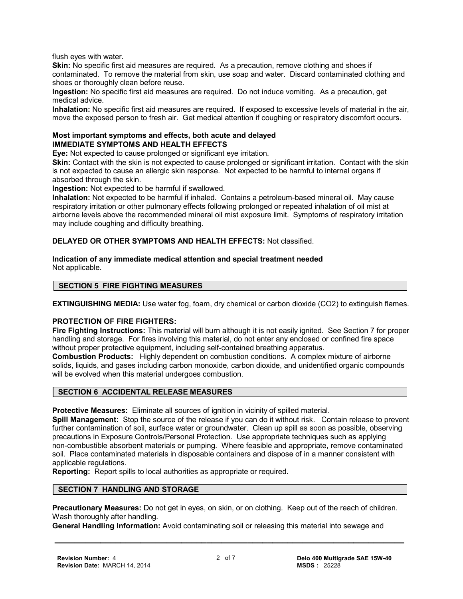flush eyes with water.

Skin: No specific first aid measures are required. As a precaution, remove clothing and shoes if contaminated. To remove the material from skin, use soap and water. Discard contaminated clothing and shoes or thoroughly clean before reuse.

**Ingestion:** No specific first aid measures are required. Do not induce vomiting. As a precaution, get medical advice.

**Inhalation:** No specific first aid measures are required. If exposed to excessive levels of material in the air, move the exposed person to fresh air. Get medical attention if coughing or respiratory discomfort occurs.

#### **Most important symptoms and effects, both acute and delayed IMMEDIATE SYMPTOMS AND HEALTH EFFECTS**

**Eye:** Not expected to cause prolonged or significant eye irritation.

**Skin:** Contact with the skin is not expected to cause prolonged or significant irritation. Contact with the skin is not expected to cause an allergic skin response. Not expected to be harmful to internal organs if absorbed through the skin.

**Ingestion:** Not expected to be harmful if swallowed.

**Inhalation:** Not expected to be harmful if inhaled. Contains a petroleum-based mineral oil. May cause respiratory irritation or other pulmonary effects following prolonged or repeated inhalation of oil mist at airborne levels above the recommended mineral oil mist exposure limit. Symptoms of respiratory irritation may include coughing and difficulty breathing.

**DELAYED OR OTHER SYMPTOMS AND HEALTH EFFECTS:** Not classified.

#### **Indication of any immediate medical attention and special treatment needed** Not applicable.

#### **SECTION 5 FIRE FIGHTING MEASURES**

**EXTINGUISHING MEDIA:** Use water fog, foam, dry chemical or carbon dioxide (CO2) to extinguish flames.

#### **PROTECTION OF FIRE FIGHTERS:**

**Fire Fighting Instructions:** This material will burn although it is not easily ignited. See Section 7 for proper handling and storage. For fires involving this material, do not enter any enclosed or confined fire space without proper protective equipment, including self-contained breathing apparatus.

**Combustion Products:** Highly dependent on combustion conditions. A complex mixture of airborne solids, liquids, and gases including carbon monoxide, carbon dioxide, and unidentified organic compounds will be evolved when this material undergoes combustion.

#### **SECTION 6 ACCIDENTAL RELEASE MEASURES**

**Protective Measures:** Eliminate all sources of ignition in vicinity of spilled material.

**Spill Management:** Stop the source of the release if you can do it without risk. Contain release to prevent further contamination of soil, surface water or groundwater. Clean up spill as soon as possible, observing precautions in Exposure Controls/Personal Protection. Use appropriate techniques such as applying non-combustible absorbent materials or pumping. Where feasible and appropriate, remove contaminated soil. Place contaminated materials in disposable containers and dispose of in a manner consistent with applicable regulations.

**Reporting:** Report spills to local authorities as appropriate or required.

# **SECTION 7 HANDLING AND STORAGE**

**Precautionary Measures:** Do not get in eyes, on skin, or on clothing. Keep out of the reach of children. Wash thoroughly after handling.

**General Handling Information:** Avoid contaminating soil or releasing this material into sewage and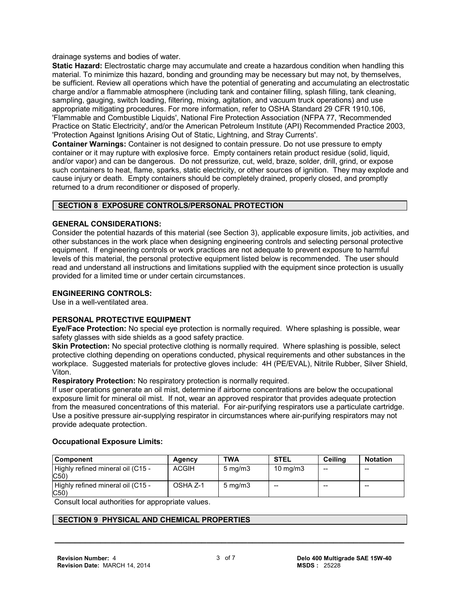drainage systems and bodies of water.

**Static Hazard:** Electrostatic charge may accumulate and create a hazardous condition when handling this material. To minimize this hazard, bonding and grounding may be necessary but may not, by themselves, be sufficient. Review all operations which have the potential of generating and accumulating an electrostatic charge and/or a flammable atmosphere (including tank and container filling, splash filling, tank cleaning, sampling, gauging, switch loading, filtering, mixing, agitation, and vacuum truck operations) and use appropriate mitigating procedures. For more information, refer to OSHA Standard 29 CFR 1910.106, 'Flammable and Combustible Liquids', National Fire Protection Association (NFPA 77, 'Recommended Practice on Static Electricity', and/or the American Petroleum Institute (API) Recommended Practice 2003, 'Protection Against Ignitions Arising Out of Static, Lightning, and Stray Currents'.

**Container Warnings:** Container is not designed to contain pressure. Do not use pressure to empty container or it may rupture with explosive force. Empty containers retain product residue (solid, liquid, and/or vapor) and can be dangerous. Do not pressurize, cut, weld, braze, solder, drill, grind, or expose such containers to heat, flame, sparks, static electricity, or other sources of ignition. They may explode and cause injury or death. Empty containers should be completely drained, properly closed, and promptly returned to a drum reconditioner or disposed of properly.

# **SECTION 8 EXPOSURE CONTROLS/PERSONAL PROTECTION**

# **GENERAL CONSIDERATIONS:**

Consider the potential hazards of this material (see Section 3), applicable exposure limits, job activities, and other substances in the work place when designing engineering controls and selecting personal protective equipment. If engineering controls or work practices are not adequate to prevent exposure to harmful levels of this material, the personal protective equipment listed below is recommended. The user should read and understand all instructions and limitations supplied with the equipment since protection is usually provided for a limited time or under certain circumstances.

#### **ENGINEERING CONTROLS:**

Use in a well-ventilated area.

# **PERSONAL PROTECTIVE EQUIPMENT**

**Eye/Face Protection:** No special eye protection is normally required. Where splashing is possible, wear safety glasses with side shields as a good safety practice.

**Skin Protection:** No special protective clothing is normally required. Where splashing is possible, select protective clothing depending on operations conducted, physical requirements and other substances in the workplace. Suggested materials for protective gloves include: 4H (PE/EVAL), Nitrile Rubber, Silver Shield, Viton.

**Respiratory Protection:** No respiratory protection is normally required.

If user operations generate an oil mist, determine if airborne concentrations are below the occupational exposure limit for mineral oil mist. If not, wear an approved respirator that provides adequate protection from the measured concentrations of this material. For air-purifying respirators use a particulate cartridge. Use a positive pressure air-supplying respirator in circumstances where air-purifying respirators may not provide adequate protection.

#### **Occupational Exposure Limits:**

| <b>Component</b>                         | Agency       | <b>TWA</b>       | <b>STEL</b>       | Ceilina | <b>Notation</b> |
|------------------------------------------|--------------|------------------|-------------------|---------|-----------------|
| Highly refined mineral oil (C15 -<br>C50 | <b>ACGIH</b> | $5 \text{ mg/m}$ | $10 \text{ mg/m}$ | $- -$   | $- -$           |
| Highly refined mineral oil (C15 -<br>C50 | OSHA Z-1     | $5 \text{ mg/m}$ | $- -$             | --      | $- -$           |

Consult local authorities for appropriate values.

#### **SECTION 9 PHYSICAL AND CHEMICAL PROPERTIES**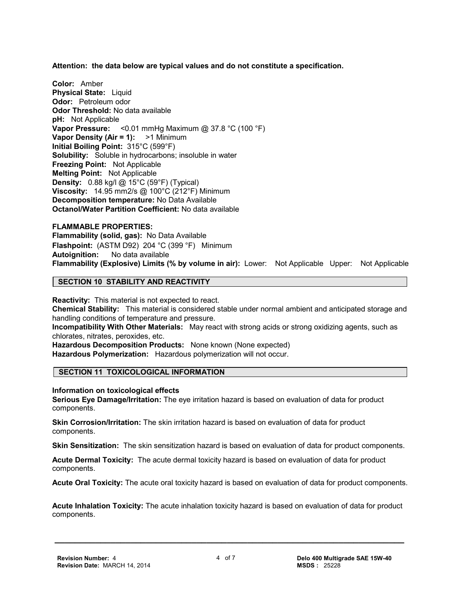**Attention: the data below are typical values and do not constitute a specification.**

**Color:** Amber **Physical State: Liquid Odor:** Petroleum odor **Odor Threshold:** No data available **pH:** Not Applicable **Vapor Pressure:** <0.01 mmHg Maximum @ 37.8 °C (100 °F) **Vapor Density (Air = 1):** >1 Minimum **Initial Boiling Point:** 315°C (599°F) **Solubility:** Soluble in hydrocarbons; insoluble in water **Freezing Point:** Not Applicable **Melting Point:** Not Applicable **Density:** 0.88 kg/l @ 15°C (59°F) (Typical) **Viscosity:** 14.95 mm2/s @ 100°C (212°F) Minimum **Decomposition temperature:** No Data Available **Octanol/Water Partition Coefficient:** No data available

**FLAMMABLE PROPERTIES: Flammability (solid, gas):** No Data Available **Flashpoint:** (ASTM D92) 204 °C (399 °F) Minimum **Autoignition:** No data available **Flammability (Explosive) Limits (% by volume in air):** Lower: Not Applicable Upper: Not Applicable

#### **SECTION 10 STABILITY AND REACTIVITY**

**Reactivity:** This material is not expected to react. **Chemical Stability:** This material is considered stable under normal ambient and anticipated storage and handling conditions of temperature and pressure. **Incompatibility With Other Materials:** May react with strong acids or strong oxidizing agents, such as chlorates, nitrates, peroxides, etc. **Hazardous Decomposition Products:** None known (None expected) **Hazardous Polymerization:** Hazardous polymerization will not occur.

# **SECTION 11 TOXICOLOGICAL INFORMATION**

# **Information on toxicological effects**

**Serious Eye Damage/Irritation:** The eye irritation hazard is based on evaluation of data for product components.

**Skin Corrosion/Irritation:** The skin irritation hazard is based on evaluation of data for product components.

**Skin Sensitization:** The skin sensitization hazard is based on evaluation of data for product components.

**Acute Dermal Toxicity:** The acute dermal toxicity hazard is based on evaluation of data for product components.

**Acute Oral Toxicity:** The acute oral toxicity hazard is based on evaluation of data for product components.

**Acute Inhalation Toxicity:** The acute inhalation toxicity hazard is based on evaluation of data for product components.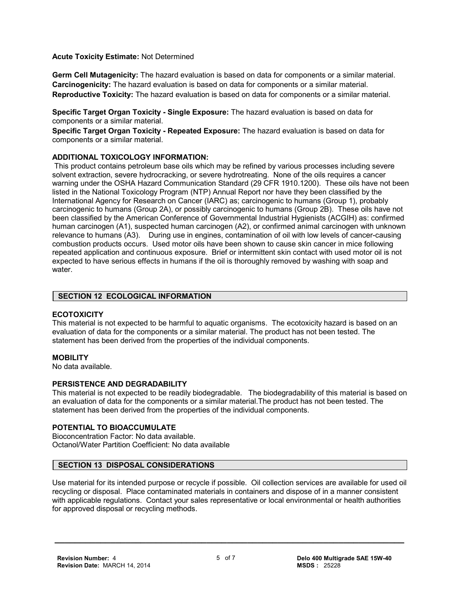**Acute Toxicity Estimate:** Not Determined

**Germ Cell Mutagenicity:** The hazard evaluation is based on data for components or a similar material. **Carcinogenicity:** The hazard evaluation is based on data for components or a similar material. **Reproductive Toxicity:** The hazard evaluation is based on data for components or a similar material.

**Specific Target Organ Toxicity - Single Exposure:** The hazard evaluation is based on data for components or a similar material.

**Specific Target Organ Toxicity - Repeated Exposure:** The hazard evaluation is based on data for components or a similar material.

# **ADDITIONAL TOXICOLOGY INFORMATION:**

 This product contains petroleum base oils which may be refined by various processes including severe solvent extraction, severe hydrocracking, or severe hydrotreating. None of the oils requires a cancer warning under the OSHA Hazard Communication Standard (29 CFR 1910.1200). These oils have not been listed in the National Toxicology Program (NTP) Annual Report nor have they been classified by the International Agency for Research on Cancer (IARC) as; carcinogenic to humans (Group 1), probably carcinogenic to humans (Group 2A), or possibly carcinogenic to humans (Group 2B). These oils have not been classified by the American Conference of Governmental Industrial Hygienists (ACGIH) as: confirmed human carcinogen (A1), suspected human carcinogen (A2), or confirmed animal carcinogen with unknown relevance to humans (A3). During use in engines, contamination of oil with low levels of cancer-causing combustion products occurs. Used motor oils have been shown to cause skin cancer in mice following repeated application and continuous exposure. Brief or intermittent skin contact with used motor oil is not expected to have serious effects in humans if the oil is thoroughly removed by washing with soap and water.

# **SECTION 12 ECOLOGICAL INFORMATION**

#### **ECOTOXICITY**

This material is not expected to be harmful to aquatic organisms. The ecotoxicity hazard is based on an evaluation of data for the components or a similar material. The product has not been tested. The statement has been derived from the properties of the individual components.

#### **MOBILITY**

No data available.

# **PERSISTENCE AND DEGRADABILITY**

This material is not expected to be readily biodegradable. The biodegradability of this material is based on an evaluation of data for the components or a similar material.The product has not been tested. The statement has been derived from the properties of the individual components.

#### **POTENTIAL TO BIOACCUMULATE**

Bioconcentration Factor: No data available. Octanol/Water Partition Coefficient: No data available

# **SECTION 13 DISPOSAL CONSIDERATIONS**

Use material for its intended purpose or recycle if possible. Oil collection services are available for used oil recycling or disposal. Place contaminated materials in containers and dispose of in a manner consistent with applicable regulations. Contact your sales representative or local environmental or health authorities for approved disposal or recycling methods.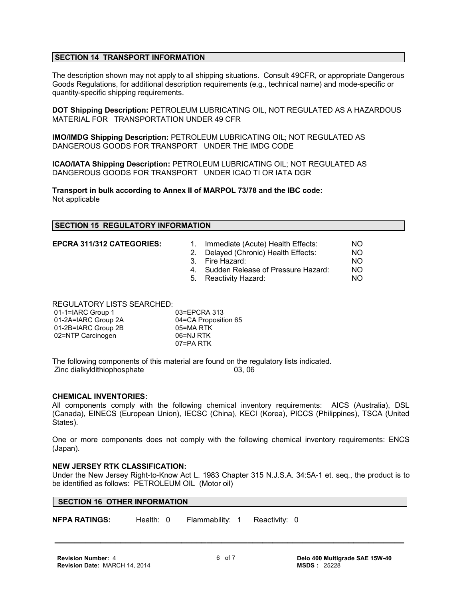#### **SECTION 14 TRANSPORT INFORMATION**

The description shown may not apply to all shipping situations. Consult 49CFR, or appropriate Dangerous Goods Regulations, for additional description requirements (e.g., technical name) and mode-specific or quantity-specific shipping requirements.

**DOT Shipping Description:** PETROLEUM LUBRICATING OIL, NOT REGULATED AS A HAZARDOUS MATERIAL FOR TRANSPORTATION UNDER 49 CFR

**IMO/IMDG Shipping Description:** PETROLEUM LUBRICATING OIL; NOT REGULATED AS DANGEROUS GOODS FOR TRANSPORT UNDER THE IMDG CODE

**ICAO/IATA Shipping Description:** PETROLEUM LUBRICATING OIL; NOT REGULATED AS DANGEROUS GOODS FOR TRANSPORT UNDER ICAO TI OR IATA DGR

**Transport in bulk according to Annex II of MARPOL 73/78 and the IBC code:** Not applicable

#### **SECTION 15 REGULATORY INFORMATION**

**EPCRA 311/312 CATEGORIES:** 1. Immediate (Acute) Health Effects: NO

2. Delayed (Chronic) Health Effects: NO

- 3. Fire Hazard: NO
- 4. Sudden Release of Pressure Hazard: NO
- 5. Reactivity Hazard: NO

REGULATORY LISTS SEARCHED:

| 01-1=IARC Group 1   | 03=EPCRA 313         |
|---------------------|----------------------|
| 01-2A=IARC Group 2A | 04=CA Proposition 65 |
| 01-2B=IARC Group 2B | 05=MA RTK            |
| 02=NTP Carcinogen   | 06=NJ RTK            |
|                     | 07=PA RTK            |

The following components of this material are found on the regulatory lists indicated.<br>Zinc dialkyldithiophosphate 03.06 Zinc dialkyldithiophosphate

#### **CHEMICAL INVENTORIES:**

All components comply with the following chemical inventory requirements: AICS (Australia), DSL (Canada), EINECS (European Union), IECSC (China), KECI (Korea), PICCS (Philippines), TSCA (United States).

One or more components does not comply with the following chemical inventory requirements: ENCS (Japan).

#### **NEW JERSEY RTK CLASSIFICATION:**

Under the New Jersey Right-to-Know Act L. 1983 Chapter 315 N.J.S.A. 34:5A-1 et. seq., the product is to be identified as follows: PETROLEUM OIL (Motor oil)

#### **SECTION 16 OTHER INFORMATION**

**NFPA RATINGS:** Health: 0 Flammability: 1 Reactivity: 0